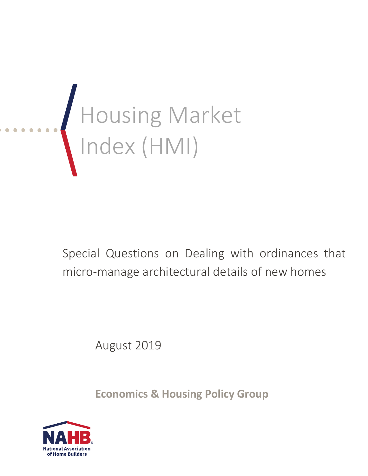

Special Questions on Dealing with ordinances that micro-manage architectural details of new homes

August 2019

**Economics & Housing Policy Group**

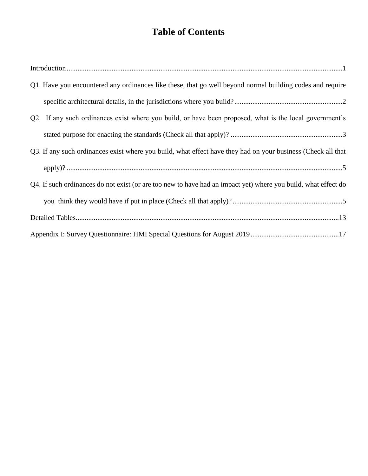# **Table of Contents**

| Q1. Have you encountered any ordinances like these, that go well beyond normal building codes and require      |
|----------------------------------------------------------------------------------------------------------------|
|                                                                                                                |
| Q2. If any such ordinances exist where you build, or have been proposed, what is the local government's        |
|                                                                                                                |
| Q3. If any such ordinances exist where you build, what effect have they had on your business (Check all that   |
|                                                                                                                |
| Q4. If such ordinances do not exist (or are too new to have had an impact yet) where you build, what effect do |
|                                                                                                                |
|                                                                                                                |
|                                                                                                                |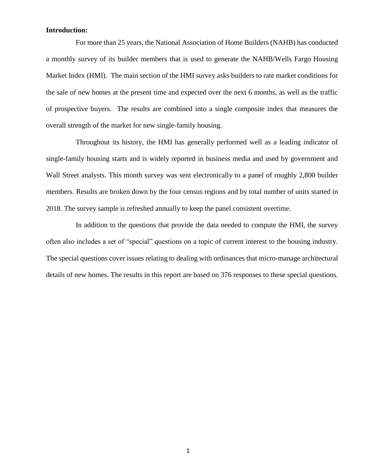#### <span id="page-2-0"></span>**Introduction:**

For more than 25 years, the National Association of Home Builders (NAHB) has conducted a monthly survey of its builder members that is used to generate the NAHB/Wells Fargo Housing Market Index (HMI). The main section of the HMI survey asks builders to rate market conditions for the sale of new homes at the present time and expected over the next 6 months, as well as the traffic of prospective buyers. The results are combined into a single composite index that measures the overall strength of the market for new single-family housing.

Throughout its history, the HMI has generally performed well as a leading indicator of single-family housing starts and is widely reported in business media and used by government and Wall Street analysts. This month survey was sent electronically to a panel of roughly 2,800 builder members. Results are broken down by the four census regions and by total number of units started in 2018. The survey sample is refreshed annually to keep the panel consistent overtime.

In addition to the questions that provide the data needed to compute the HMI, the survey often also includes a set of "special" questions on a topic of current interest to the housing industry. The special questions cover issues relating to dealing with ordinances that micro-manage architectural details of new homes. The results in this report are based on 376 responses to these special questions.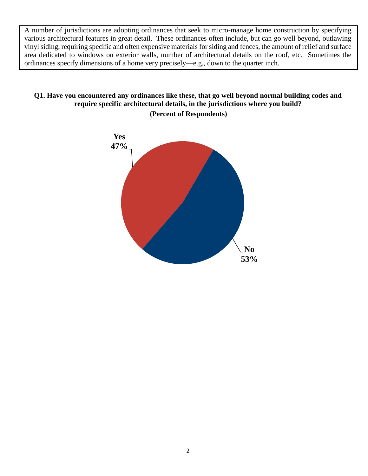A number of jurisdictions are adopting ordinances that seek to micro-manage home construction by specifying various architectural features in great detail. These ordinances often include, but can go well beyond, outlawing vinyl siding, requiring specific and often expensive materials for siding and fences, the amount of relief and surface area dedicated to windows on exterior walls, number of architectural details on the roof, etc. Sometimes the ordinances specify dimensions of a home very precisely—e.g., down to the quarter inch.

### <span id="page-3-0"></span>**Q1. Have you encountered any ordinances like these, that go well beyond normal building codes and require specific architectural details, in the jurisdictions where you build? (Percent of Respondents)**

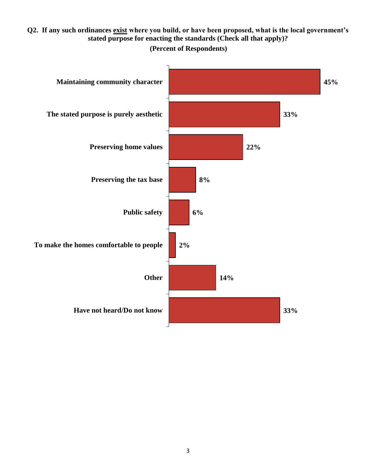## <span id="page-4-0"></span>**Q2. If any such ordinances exist where you build, or have been proposed, what is the local government's stated purpose for enacting the standards (Check all that apply)?**

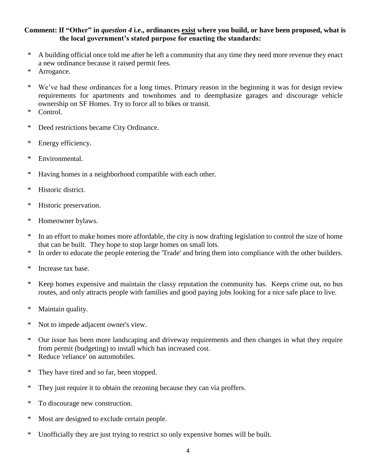### **Comment: If "Other" in** *question 4* **i.e., ordinances exist where you build, or have been proposed, what is the local government's stated purpose for enacting the standards:**

- \* A building official once told me after he left a community that any time they need more revenue they enact a new ordinance because it raised permit fees.
- \* Arrogance.
- \* We've had these ordinances for a long times. Primary reason in the beginning it was for design review requirements for apartments and townhomes and to deemphasize garages and discourage vehicle ownership on SF Homes. Try to force all to bikes or transit.
- \* Control.
- \* Deed restrictions became City Ordinance.
- \* Energy efficiency.
- \* Environmental.
- \* Having homes in a neighborhood compatible with each other.
- \* Historic district.
- \* Historic preservation.
- \* Homeowner bylaws.
- \* In an effort to make homes more affordable, the city is now drafting legislation to control the size of home that can be built. They hope to stop large homes on small lots.
- \* In order to educate the people entering the 'Trade' and bring them into compliance with the other builders.
- \* Increase tax base.
- \* Keep homes expensive and maintain the classy reputation the community has. Keeps crime out, no bus routes, and only attracts people with families and good paying jobs looking for a nice safe place to live.
- \* Maintain quality.
- \* Not to impede adjacent owner's view.
- \* Our issue has been more landscaping and driveway requirements and then changes in what they require from permit (budgeting) to install which has increased cost.
- \* Reduce 'reliance' on automobiles.
- \* They have tired and so far, been stopped.
- \* They just require it to obtain the rezoning because they can via proffers.
- \* To discourage new construction.
- \* Most are designed to exclude certain people.
- \* Unofficially they are just trying to restrict so only expensive homes will be built.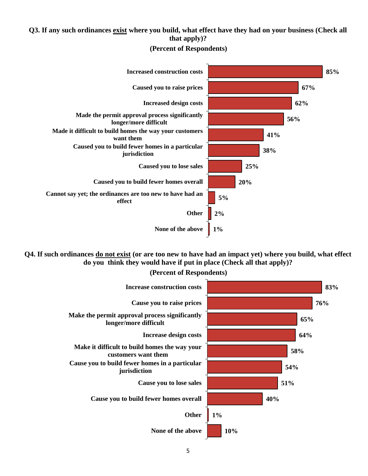### <span id="page-6-0"></span>**Q3. If any such ordinances exist where you build, what effect have they had on your business (Check all that apply)?**



**(Percent of Respondents)**

<span id="page-6-1"></span>**Q4. If such ordinances do not exist (or are too new to have had an impact yet) where you build, what effect do you think they would have if put in place (Check all that apply)?**



**(Percent of Respondents)**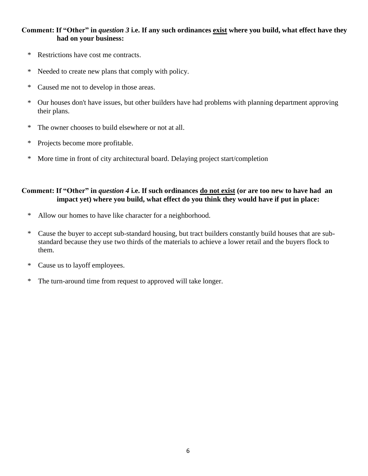#### **Comment: If "Other" in** *question 3* **i.e. If any such ordinances exist where you build, what effect have they had on your business:**

- \* Restrictions have cost me contracts.
- \* Needed to create new plans that comply with policy.
- \* Caused me not to develop in those areas.
- \* Our houses don't have issues, but other builders have had problems with planning department approving their plans.
- \* The owner chooses to build elsewhere or not at all.
- \* Projects become more profitable.
- \* More time in front of city architectural board. Delaying project start/completion

#### **Comment: If "Other" in** *question 4* **i.e. If such ordinances do not exist (or are too new to have had an impact yet) where you build, what effect do you think they would have if put in place:**

- \* Allow our homes to have like character for a neighborhood.
- \* Cause the buyer to accept sub-standard housing, but tract builders constantly build houses that are substandard because they use two thirds of the materials to achieve a lower retail and the buyers flock to them.
- \* Cause us to layoff employees.
- \* The turn-around time from request to approved will take longer.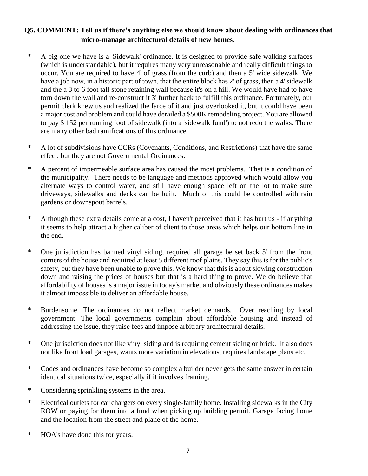## **Q5. COMMENT: Tell us if there's anything else we should know about dealing with ordinances that micro-manage architectural details of new homes.**

- \* A big one we have is a 'Sidewalk' ordinance. It is designed to provide safe walking surfaces (which is understandable), but it requires many very unreasonable and really difficult things to occur. You are required to have 4' of grass (from the curb) and then a 5' wide sidewalk. We have a job now, in a historic part of town, that the entire block has 2' of grass, then a 4' sidewalk and the a 3 to 6 foot tall stone retaining wall because it's on a hill. We would have had to have torn down the wall and re-construct it 3' further back to fulfill this ordinance. Fortunately, our permit clerk knew us and realized the farce of it and just overlooked it, but it could have been a major cost and problem and could have derailed a \$500K remodeling project. You are allowed to pay \$ 152 per running foot of sidewalk (into a 'sidewalk fund') to not redo the walks. There are many other bad ramifications of this ordinance
- \* A lot of subdivisions have CCRs (Covenants, Conditions, and Restrictions) that have the same effect, but they are not Governmental Ordinances.
- \* A percent of impermeable surface area has caused the most problems. That is a condition of the municipality. There needs to be language and methods approved which would allow you alternate ways to control water, and still have enough space left on the lot to make sure driveways, sidewalks and decks can be built. Much of this could be controlled with rain gardens or downspout barrels.
- \* Although these extra details come at a cost, I haven't perceived that it has hurt us if anything it seems to help attract a higher caliber of client to those areas which helps our bottom line in the end.
- \* One jurisdiction has banned vinyl siding, required all garage be set back 5' from the front corners of the house and required at least 5 different roof plains. They say this is for the public's safety, but they have been unable to prove this. We know that this is about slowing construction down and raising the prices of houses but that is a hard thing to prove. We do believe that affordability of houses is a major issue in today's market and obviously these ordinances makes it almost impossible to deliver an affordable house.
- \* Burdensome. The ordinances do not reflect market demands. Over reaching by local government. The local governments complain about affordable housing and instead of addressing the issue, they raise fees and impose arbitrary architectural details.
- \* One jurisdiction does not like vinyl siding and is requiring cement siding or brick. It also does not like front load garages, wants more variation in elevations, requires landscape plans etc.
- \* Codes and ordinances have become so complex a builder never gets the same answer in certain identical situations twice, especially if it involves framing.
- \* Considering sprinkling systems in the area.
- \* Electrical outlets for car chargers on every single-family home. Installing sidewalks in the City ROW or paying for them into a fund when picking up building permit. Garage facing home and the location from the street and plane of the home.
- \* HOA's have done this for years.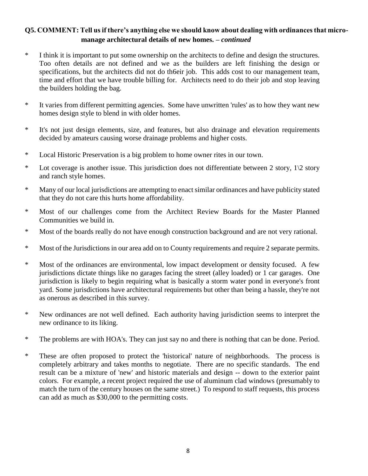## **Q5. COMMENT: Tell us if there's anything else we should know about dealing with ordinances that micromanage architectural details of new homes. –** *continued*

- \* I think it is important to put some ownership on the architects to define and design the structures. Too often details are not defined and we as the builders are left finishing the design or specifications, but the architects did not do th6eir job. This adds cost to our management team, time and effort that we have trouble billing for. Architects need to do their job and stop leaving the builders holding the bag.
- \* It varies from different permitting agencies. Some have unwritten 'rules' as to how they want new homes design style to blend in with older homes.
- \* It's not just design elements, size, and features, but also drainage and elevation requirements decided by amateurs causing worse drainage problems and higher costs.
- \* Local Historic Preservation is a big problem to home owner rites in our town.
- \* Lot coverage is another issue. This jurisdiction does not differentiate between 2 story, 1\2 story and ranch style homes.
- \* Many of our local jurisdictions are attempting to enact similar ordinances and have publicity stated that they do not care this hurts home affordability.
- \* Most of our challenges come from the Architect Review Boards for the Master Planned Communities we build in.
- \* Most of the boards really do not have enough construction background and are not very rational.
- \* Most of the Jurisdictions in our area add on to County requirements and require 2 separate permits.
- \* Most of the ordinances are environmental, low impact development or density focused. A few jurisdictions dictate things like no garages facing the street (alley loaded) or 1 car garages. One jurisdiction is likely to begin requiring what is basically a storm water pond in everyone's front yard. Some jurisdictions have architectural requirements but other than being a hassle, they're not as onerous as described in this survey.
- \* New ordinances are not well defined. Each authority having jurisdiction seems to interpret the new ordinance to its liking.
- \* The problems are with HOA's. They can just say no and there is nothing that can be done. Period.
- \* These are often proposed to protect the 'historical' nature of neighborhoods. The process is completely arbitrary and takes months to negotiate. There are no specific standards. The end result can be a mixture of 'new' and historic materials and design -- down to the exterior paint colors. For example, a recent project required the use of aluminum clad windows (presumably to match the turn of the century houses on the same street.) To respond to staff requests, this process can add as much as \$30,000 to the permitting costs.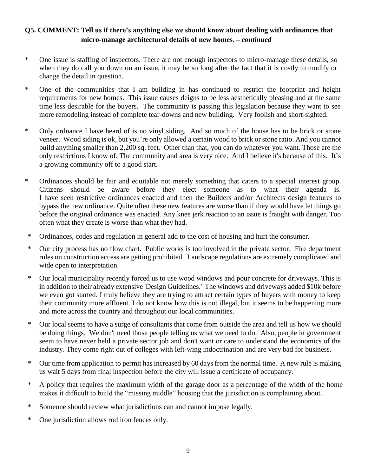## **Q5. COMMENT: Tell us if there's anything else we should know about dealing with ordinances that micro-manage architectural details of new homes. –** *continued*

- \* One issue is staffing of inspectors. There are not enough inspectors to micro-manage these details, so when they do call you down on an issue, it may be so long after the fact that it is costly to modify or change the detail in question.
- \* One of the communities that I am building in has continued to restrict the footprint and height requirements for new homes. This issue causes deigns to be less aesthetically pleasing and at the same time less desirable for the buyers. The community is passing this legislation because they want to see more remodeling instead of complete tear-downs and new building. Very foolish and short-sighted.
- \* Only ordnance I have heard of is no vinyl siding. And so much of the house has to be brick or stone veneer. Wood siding is ok, but you're only allowed a certain wood to brick or stone ratio. And you cannot build anything smaller than 2,200 sq. feet. Other than that, you can do whatever you want. Those are the only restrictions I know of. The community and area is very nice. And I believe it's because of this. It's a growing community off to a good start.
- \* Ordinances should be fair and equitable not merely something that caters to a special interest group. Citizens should be aware before they elect someone as to what their agenda is. I have seen restrictive ordinances enacted and then the Builders and/or Architects design features to bypass the new ordinance. Quite often these new features are worse than if they would have let things go before the original ordinance was enacted. Any knee jerk reaction to an issue is fraught with danger. Too often what they create is worse than what they had.
- \* Ordinances, codes and regulation in general add to the cost of housing and hurt the consumer.
- \* Our city process has no flow chart. Public works is too involved in the private sector. Fire department rules on construction access are getting prohibited. Landscape regulations are extremely complicated and wide open to interpretation.
- \* Our local municipality recently forced us to use wood windows and pour concrete for driveways. This is in addition to their already extensive 'Design Guidelines.' The windows and driveways added \$10k before we even got started. I truly believe they are trying to attract certain types of buyers with money to keep their community more affluent. I do not know how this is not illegal, but it seems to be happening more and more across the country and throughout our local communities.
- \* Our local seems to have a surge of consultants that come from outside the area and tell us how we should be doing things. We don't need those people telling us what we need to do. Also, people in government seem to have never held a private sector job and don't want or care to understand the economics of the industry. They come right out of colleges with left-wing indoctrination and are very bad for business.
- \* Our time from application to permit has increased by 60 days from the normal time. A new rule is making us wait 5 days from final inspection before the city will issue a certificate of occupancy.
- \* A policy that requires the maximum width of the garage door as a percentage of the width of the home makes it difficult to build the "missing middle" housing that the jurisdiction is complaining about.
- \* Someone should review what jurisdictions can and cannot impose legally.
- \* One jurisdiction allows rod iron fences only.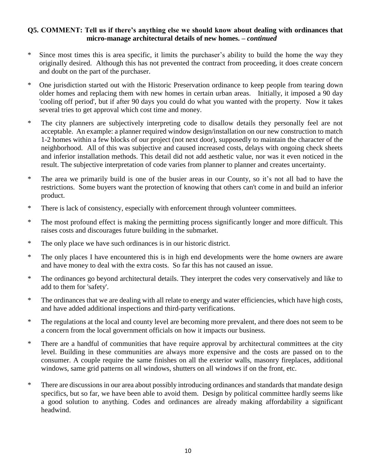#### **Q5. COMMENT: Tell us if there's anything else we should know about dealing with ordinances that micro-manage architectural details of new homes. –** *continued*

- \* Since most times this is area specific, it limits the purchaser's ability to build the home the way they originally desired. Although this has not prevented the contract from proceeding, it does create concern and doubt on the part of the purchaser.
- \* One jurisdiction started out with the Historic Preservation ordinance to keep people from tearing down older homes and replacing them with new homes in certain urban areas. Initially, it imposed a 90 day 'cooling off period', but if after 90 days you could do what you wanted with the property. Now it takes several tries to get approval which cost time and money.
- \* The city planners are subjectively interpreting code to disallow details they personally feel are not acceptable. An example: a planner required window design/installation on our new construction to match 1-2 homes within a few blocks of our project (not next door), supposedly to maintain the character of the neighborhood. All of this was subjective and caused increased costs, delays with ongoing check sheets and inferior installation methods. This detail did not add aesthetic value, nor was it even noticed in the result. The subjective interpretation of code varies from planner to planner and creates uncertainty.
- \* The area we primarily build is one of the busier areas in our County, so it's not all bad to have the restrictions. Some buyers want the protection of knowing that others can't come in and build an inferior product.
- \* There is lack of consistency, especially with enforcement through volunteer committees.
- \* The most profound effect is making the permitting process significantly longer and more difficult. This raises costs and discourages future building in the submarket.
- \* The only place we have such ordinances is in our historic district.
- \* The only places I have encountered this is in high end developments were the home owners are aware and have money to deal with the extra costs. So far this has not caused an issue.
- \* The ordinances go beyond architectural details. They interpret the codes very conservatively and like to add to them for 'safety'.
- \* The ordinances that we are dealing with all relate to energy and water efficiencies, which have high costs, and have added additional inspections and third-party verifications.
- \* The regulations at the local and county level are becoming more prevalent, and there does not seem to be a concern from the local government officials on how it impacts our business.
- \* There are a handful of communities that have require approval by architectural committees at the city level. Building in these communities are always more expensive and the costs are passed on to the consumer. A couple require the same finishes on all the exterior walls, masonry fireplaces, additional windows, same grid patterns on all windows, shutters on all windows if on the front, etc.
- \* There are discussions in our area about possibly introducing ordinances and standards that mandate design specifics, but so far, we have been able to avoid them. Design by political committee hardly seems like a good solution to anything. Codes and ordinances are already making affordability a significant headwind.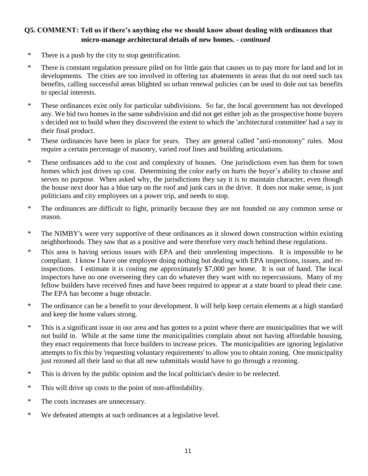## **Q5. COMMENT: Tell us if there's anything else we should know about dealing with ordinances that micro-manage architectural details of new homes. -** *continued*

- \* There is a push by the city to stop gentrification.
- \* There is constant regulation pressure piled on for little gain that causes us to pay more for land and lot in developments. The cities are too involved in offering tax abatements in areas that do not need such tax benefits, calling successful areas blighted so urban renewal policies can be used to dole out tax benefits to special interests.
- \* These ordinances exist only for particular subdivisions. So far, the local government has not developed any. We bid two homes in the same subdivision and did not get either job as the prospective home buyers s decided not to build when they discovered the extent to which the 'architectural committee' had a say in their final product.
- \* These ordinances have been in place for years. They are general called "anti-monotony" rules. Most require a certain percentage of masonry, varied roof lines and building articulations.
- \* These ordinances add to the cost and complexity of houses. One jurisdictions even has them for town homes which just drives up cost. Determining the color early on hurts the buyer's ability to choose and serves no purpose. When asked why, the jurisdictions they say it is to maintain character, even though the house next door has a blue tarp on the roof and junk cars in the drive. It does not make sense, is just politicians and city employees on a power trip, and needs to stop.
- \* The ordinances are difficult to fight, primarily because they are not founded on any common sense or reason.
- \* The NIMBY's were very supportive of these ordinances as it slowed down construction within existing neighborhoods. They saw that as a positive and were therefore very much behind these regulations.
- \* This area is having serious issues with EPA and their unrelenting inspections. It is impossible to be compliant. I know I have one employee doing nothing but dealing with EPA inspections, issues, and reinspections. I estimate it is costing me approximately \$7,000 per home. It is out of hand. The local inspectors have no one overseeing they can do whatever they want with no repercussions. Many of my fellow builders have received fines and have been required to appear at a state board to plead their case. The EPA has become a huge obstacle.
- \* The ordinance can be a benefit to your development. It will help keep certain elements at a high standard and keep the home values strong.
- \* This is a significant issue in our area and has gotten to a point where there are municipalities that we will not build in. While at the same time the municipalities complain about not having affordable housing, they enact requirements that force builders to increase prices. The municipalities are ignoring legislative attempts to fix this by 'requesting voluntary requirements' to allow you to obtain zoning. One municipality just rezoned all their land so that all new submittals would have to go through a rezoning.
- \* This is driven by the public opinion and the local politician's desire to be reelected.
- \* This will drive up costs to the point of non-affordability.
- \* The costs increases are unnecessary.
- \* We defeated attempts at such ordinances at a legislative level.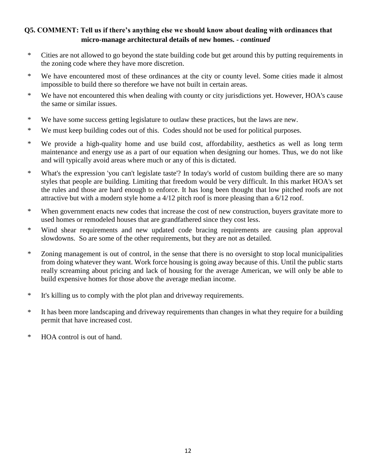## **Q5. COMMENT: Tell us if there's anything else we should know about dealing with ordinances that micro-manage architectural details of new homes. -** *continued*

- \* Cities are not allowed to go beyond the state building code but get around this by putting requirements in the zoning code where they have more discretion.
- \* We have encountered most of these ordinances at the city or county level. Some cities made it almost impossible to build there so therefore we have not built in certain areas.
- \* We have not encountered this when dealing with county or city jurisdictions yet. However, HOA's cause the same or similar issues.
- \* We have some success getting legislature to outlaw these practices, but the laws are new.
- \* We must keep building codes out of this. Codes should not be used for political purposes.
- \* We provide a high-quality home and use build cost, affordability, aesthetics as well as long term maintenance and energy use as a part of our equation when designing our homes. Thus, we do not like and will typically avoid areas where much or any of this is dictated.
- \* What's the expression 'you can't legislate taste'? In today's world of custom building there are so many styles that people are building. Limiting that freedom would be very difficult. In this market HOA's set the rules and those are hard enough to enforce. It has long been thought that low pitched roofs are not attractive but with a modern style home a 4/12 pitch roof is more pleasing than a 6/12 roof.
- \* When government enacts new codes that increase the cost of new construction, buyers gravitate more to used homes or remodeled houses that are grandfathered since they cost less.
- \* Wind shear requirements and new updated code bracing requirements are causing plan approval slowdowns. So are some of the other requirements, but they are not as detailed.
- \* Zoning management is out of control, in the sense that there is no oversight to stop local municipalities from doing whatever they want. Work force housing is going away because of this. Until the public starts really screaming about pricing and lack of housing for the average American, we will only be able to build expensive homes for those above the average median income.
- \* It's killing us to comply with the plot plan and driveway requirements.
- \* It has been more landscaping and driveway requirements than changes in what they require for a building permit that have increased cost.
- \* HOA control is out of hand.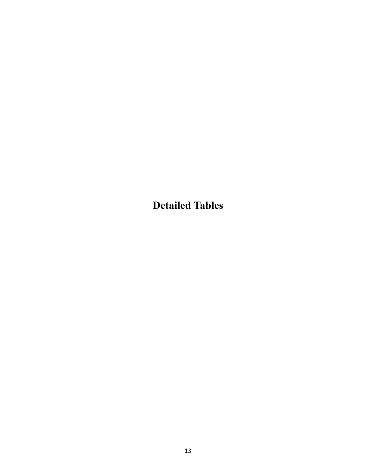<span id="page-14-0"></span>**Detailed Tables**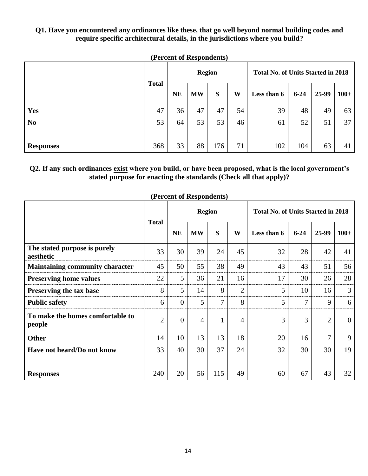#### **Q1. Have you encountered any ordinances like these, that go well beyond normal building codes and require specific architectural details, in the jurisdictions where you build?**

| $(1$ of comp of all positions, |              |               |           |     |    |                                           |          |       |        |
|--------------------------------|--------------|---------------|-----------|-----|----|-------------------------------------------|----------|-------|--------|
|                                |              | <b>Region</b> |           |     |    | <b>Total No. of Units Started in 2018</b> |          |       |        |
|                                | <b>Total</b> | <b>NE</b>     | <b>MW</b> | S   | W  | Less than 6                               | $6 - 24$ | 25-99 | $100+$ |
| Yes                            | 47           | 36            | 47        | 47  | 54 | 39                                        | 48       | 49    | 63     |
| N <sub>0</sub>                 | 53           | 64            | 53        | 53  | 46 | 61                                        | 52       | 51    | 37     |
| <b>Responses</b>               | 368          | 33            | 88        | 176 | 71 | 102                                       | 104      | 63    | 41     |

**(Percent of Respondents)**

### **Q2. If any such ordinances exist where you build, or have been proposed, what is the local government's stated purpose for enacting the standards (Check all that apply)?**

|                                            |                |                | <b>Region</b>  |                |                | <b>Total No. of Units Started in 2018</b> |          |                |                |  |
|--------------------------------------------|----------------|----------------|----------------|----------------|----------------|-------------------------------------------|----------|----------------|----------------|--|
|                                            | <b>Total</b>   | <b>NE</b>      | <b>MW</b>      | S              | W              | Less than 6                               | $6 - 24$ | 25-99          | $100+$         |  |
| The stated purpose is purely<br>aesthetic  | 33             | 30             | 39             | 24             | 45             | 32                                        | 28       | 42             | 41             |  |
| <b>Maintaining community character</b>     | 45             | 50             | 55             | 38             | 49             | 43                                        | 43       | 51             | 56             |  |
| <b>Preserving home values</b>              | 22             | 5              | 36             | 21             | 16             | 17                                        | 30       | 26             | 28             |  |
| Preserving the tax base                    | 8              | 5              | 14             | 8              | $\overline{2}$ | 5                                         | 10       | 16             | 3              |  |
| <b>Public safety</b>                       | 6              | $\theta$       | 5              | $\overline{7}$ | 8              | 5                                         | 7        | 9              | 6              |  |
| To make the homes comfortable to<br>people | $\overline{2}$ | $\overline{0}$ | $\overline{4}$ | $\mathbf{1}$   | $\overline{4}$ | 3                                         | 3        | $\overline{2}$ | $\overline{0}$ |  |
| <b>Other</b>                               | 14             | 10             | 13             | 13             | 18             | 20                                        | 16       | 7              | 9              |  |
| Have not heard/Do not know                 | 33             | 40             | 30             | 37             | 24             | 32                                        | 30       | 30             | 19             |  |
| <b>Responses</b>                           | 240            | 20             | 56             | 115            | 49             | 60                                        | 67       | 43             | 32             |  |

**(Percent of Respondents)**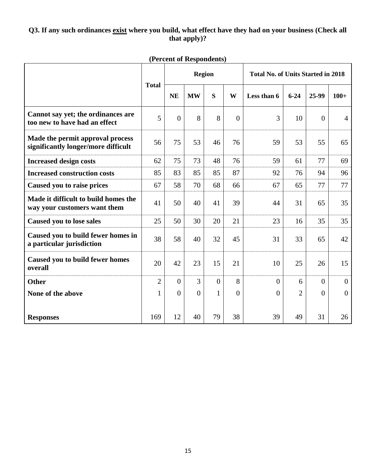## **Q3. If any such ordinances exist where you build, what effect have they had on your business (Check all that apply)?**

|                                                                         |                |                | <b>Region</b> |                |                | <b>Total No. of Units Started in 2018</b> |                |                |                |  |
|-------------------------------------------------------------------------|----------------|----------------|---------------|----------------|----------------|-------------------------------------------|----------------|----------------|----------------|--|
|                                                                         | <b>Total</b>   | <b>NE</b>      | <b>MW</b>     | S              | W              | Less than 6                               | $6 - 24$       | 25-99          | $100+$         |  |
| Cannot say yet; the ordinances are<br>too new to have had an effect     | 5              | $\overline{0}$ | 8             | 8              | $\overline{0}$ | $\overline{3}$                            | 10             | $\overline{0}$ | $\overline{4}$ |  |
| Made the permit approval process<br>significantly longer/more difficult | 56             | 75             | 53            | 46             | 76             | 59                                        | 53             | 55             | 65             |  |
| <b>Increased design costs</b>                                           | 62             | 75             | 73            | 48             | 76             | 59                                        | 61             | 77             | 69             |  |
| <b>Increased construction costs</b>                                     | 85             | 83             | 85            | 85             | 87             | 92                                        | 76             | 94             | 96             |  |
| Caused you to raise prices                                              | 67             | 58             | 70            | 68             | 66             | 67                                        | 65             | 77             | 77             |  |
| Made it difficult to build homes the<br>way your customers want them    | 41             | 50             | 40            | 41             | 39             | 44                                        | 31             | 65             | 35             |  |
| <b>Caused you to lose sales</b>                                         | 25             | 50             | 30            | 20             | 21             | 23                                        | 16             | 35             | 35             |  |
| Caused you to build fewer homes in<br>a particular jurisdiction         | 38             | 58             | 40            | 32             | 45             | 31                                        | 33             | 65             | 42             |  |
| <b>Caused you to build fewer homes</b><br>overall                       | 20             | 42             | 23            | 15             | 21             | 10                                        | 25             | 26             | 15             |  |
| <b>Other</b>                                                            | $\overline{2}$ | $\overline{0}$ | 3             | $\overline{0}$ | 8              | $\overline{0}$                            | 6              | $\Omega$       | $\overline{0}$ |  |
| None of the above                                                       | $\mathbf{1}$   | $\Omega$       | $\Omega$      | $\mathbf{1}$   | $\theta$       | $\overline{0}$                            | $\overline{2}$ | $\overline{0}$ | $\overline{0}$ |  |
|                                                                         |                |                |               |                |                |                                           |                |                |                |  |
| <b>Responses</b>                                                        | 169            | 12             | 40            | 79             | 38             | 39                                        | 49             | 31             | 26             |  |

## **(Percent of Respondents)**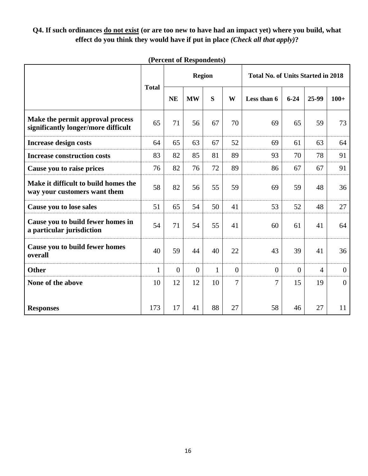## **Q4. If such ordinances do not exist (or are too new to have had an impact yet) where you build, what effect do you think they would have if put in place** *(Check all that apply)***?**

|                                                                         |              |                | <b>Region</b>  |              |                | <b>Total No. of Units Started in 2018</b> |                |                |                |  |
|-------------------------------------------------------------------------|--------------|----------------|----------------|--------------|----------------|-------------------------------------------|----------------|----------------|----------------|--|
|                                                                         | <b>Total</b> | <b>NE</b>      | <b>MW</b>      | S            | W              | Less than 6                               | $6 - 24$       | 25-99          | $100+$         |  |
| Make the permit approval process<br>significantly longer/more difficult | 65           | 71             | 56             | 67           | 70             | 69                                        | 65             | 59             | 73             |  |
| <b>Increase design costs</b>                                            | 64           | 65             | 63             | 67           | 52             | 69                                        | 61             | 63             | 64             |  |
| <b>Increase construction costs</b>                                      | 83           | 82             | 85             | 81           | 89             | 93                                        | 70             | 78             | 91             |  |
| Cause you to raise prices                                               | 76           | 82             | 76             | 72           | 89             | 86                                        | 67             | 67             | 91             |  |
| Make it difficult to build homes the<br>way your customers want them    | 58           | 82             | 56             | 55           | 59             | 69                                        | 59             | 48             | 36             |  |
| Cause you to lose sales                                                 | 51           | 65             | 54             | 50           | 41             | 53                                        | 52             | 48             | 27             |  |
| Cause you to build fewer homes in<br>a particular jurisdiction          | 54           | 71             | 54             | 55           | 41             | 60                                        | 61             | 41             | 64             |  |
| Cause you to build fewer homes<br>overall                               | 40           | 59             | 44             | 40           | 22             | 43                                        | 39             | 41             | 36             |  |
| <b>Other</b>                                                            | $\mathbf{1}$ | $\overline{0}$ | $\overline{0}$ | $\mathbf{1}$ | $\theta$       | $\theta$                                  | $\overline{0}$ | $\overline{4}$ | $\mathbf{0}$   |  |
| None of the above                                                       | 10           | 12             | 12             | 10           | $\overline{7}$ | 7                                         | 15             | 19             | $\overline{0}$ |  |
| <b>Responses</b>                                                        | 173          | 17             | 41             | 88           | 27             | 58                                        | 46             | 27             | 11             |  |

## **(Percent of Respondents)**